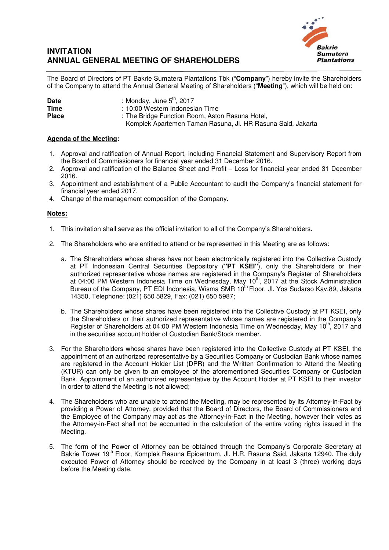## **INVITATION ANNUAL GENERAL MEETING OF SHAREHOLDERS**



The Board of Directors of PT Bakrie Sumatera Plantations Tbk ("**Company**") hereby invite the Shareholders of the Company to attend the Annual General Meeting of Shareholders ("**Meeting**"), which will be held on:

| <b>Date</b>  | : Monday, June $5th$ , 2017                                 |
|--------------|-------------------------------------------------------------|
| Time         | : 10:00 Western Indonesian Time                             |
| <b>Place</b> | : The Bridge Function Room, Aston Rasuna Hotel,             |
|              | Komplek Apartemen Taman Rasuna, Jl. HR Rasuna Said, Jakarta |

## **Agenda of the Meeting:**

- 1. Approval and ratification of Annual Report, including Financial Statement and Supervisory Report from the Board of Commissioners for financial year ended 31 December 2016.
- 2. Approval and ratification of the Balance Sheet and Profit Loss for financial year ended 31 December 2016.
- 3. Appointment and establishment of a Public Accountant to audit the Company's financial statement for financial year ended 2017.
- 4. Change of the management composition of the Company.

## **Notes:**

- 1. This invitation shall serve as the official invitation to all of the Company's Shareholders.
- 2. The Shareholders who are entitled to attend or be represented in this Meeting are as follows:
	- a. The Shareholders whose shares have not been electronically registered into the Collective Custody at PT Indonesian Central Securities Depository (**"PT KSEI"**), only the Shareholders or their authorized representative whose names are registered in the Company's Register of Shareholders at 04:00 PM Western Indonesia Time on Wednesday, May 10<sup>th</sup>, 2017 at the Stock Administration Bureau of the Company, PT EDI Indonesia, Wisma SMR 10<sup>th</sup> Floor, Jl. Yos Sudarso Kav.89, Jakarta 14350, Telephone: (021) 650 5829, Fax: (021) 650 5987;
	- b. The Shareholders whose shares have been registered into the Collective Custody at PT KSEI, only the Shareholders or their authorized representative whose names are registered in the Company's Register of Shareholders at 04:00 PM Western Indonesia Time on Wednesday, May 10<sup>th</sup>, 2017 and in the securities account holder of Custodian Bank/Stock member.
- 3. For the Shareholders whose shares have been registered into the Collective Custody at PT KSEI, the appointment of an authorized representative by a Securities Company or Custodian Bank whose names are registered in the Account Holder List (DPR) and the Written Confirmation to Attend the Meeting (KTUR) can only be given to an employee of the aforementioned Securities Company or Custodian Bank. Appointment of an authorized representative by the Account Holder at PT KSEI to their investor in order to attend the Meeting is not allowed;
- 4. The Shareholders who are unable to attend the Meeting, may be represented by its Attorney-in-Fact by providing a Power of Attorney, provided that the Board of Directors, the Board of Commissioners and the Employee of the Company may act as the Attorney-in-Fact in the Meeting, however their votes as the Attorney-in-Fact shall not be accounted in the calculation of the entire voting rights issued in the Meeting.
- 5. The form of the Power of Attorney can be obtained through the Company's Corporate Secretary at Bakrie Tower 19<sup>th</sup> Floor, Komplek Rasuna Epicentrum, Jl. H.R. Rasuna Said, Jakarta 12940. The duly executed Power of Attorney should be received by the Company in at least 3 (three) working days before the Meeting date.